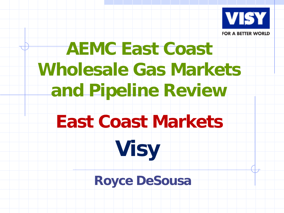

## **AEMC East Coast Wholesale Gas Markets and Pipeline Review**

### **East Coast Markets**

**Visy**

### **Royce DeSousa**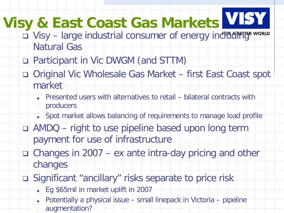# **Visy & East Coast Gas Markets**

- Uisy large industrial consumer of energy in[cluding](http://www.visy.com.au/) world Natural Gas
- □ Participant in Vic DWGM (and STTM)
- Original Vic Wholesale Gas Market first East Coast spot market
	- $\triangleright$  Presented users with alternatives to retail bilateral contracts with producers
	- Spot market allows balancing of requirements to manage load profile
- □ AMDQ right to use pipeline based upon long term payment for use of infrastructure
- Changes in 2007 ex ante intra-day pricing and other changes
- Significant "ancillary" risks separate to price risk
	- Eg \$65mil in market uplift in 2007
	- Potentially a physical issue small linepack in Victoria pipeline augmentation?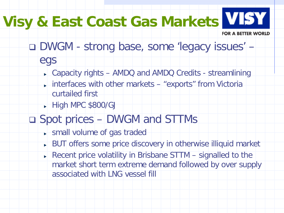## **Visy & East Coast Gas Markets**

**FOR A BETTER WORLD** 

- DWGM strong base, some 'legacy issues'
	- egs
		- Capacity rights AMDQ and AMDQ Credits streamlining
		- interfaces with other markets "exports" from Victoria curtailed first
		- $\blacktriangleright$  High MPC \$800/GJ

#### Spot prices – DWGM and STTMs

- **small volume of gas traded**
- **BUT offers some price discovery in otherwise illiquid market**
- Recent price volatility in Brisbane STTM  $-$  signalled to the market short term extreme demand followed by over supply associated with LNG vessel fill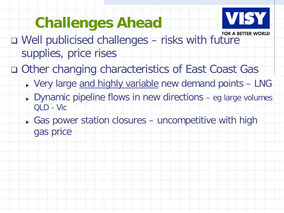### **Challenges Ahead**



- Well publicised challenges risks with fu[ture](http://www.visy.com.au/)  supplies, price rises
- □ Other changing characteristics of East Coast Gas
	- ▶ Very large and highly variable new demand points LNG
	- $\triangleright$  Dynamic pipeline flows in new directions eg large volumes QLD - Vic
	- Gas power station closures uncompetitive with high gas price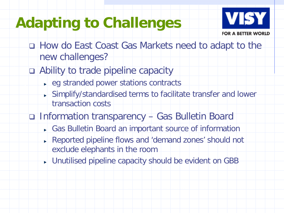#### **Adapting to Challenges**



- How do East Coast Gas Markets need to adapt to the new challenges?
- Ability to trade pipeline capacity
	- ► eg stranded power stations contracts
	- Simplify/standardised terms to facilitate transfer and lower transaction costs
- Information transparency Gas Bulletin Board
	- Gas Bulletin Board an important source of information
	- Reported pipeline flows and 'demand zones' should not exclude elephants in the room
	- Unutilised pipeline capacity should be evident on GBB